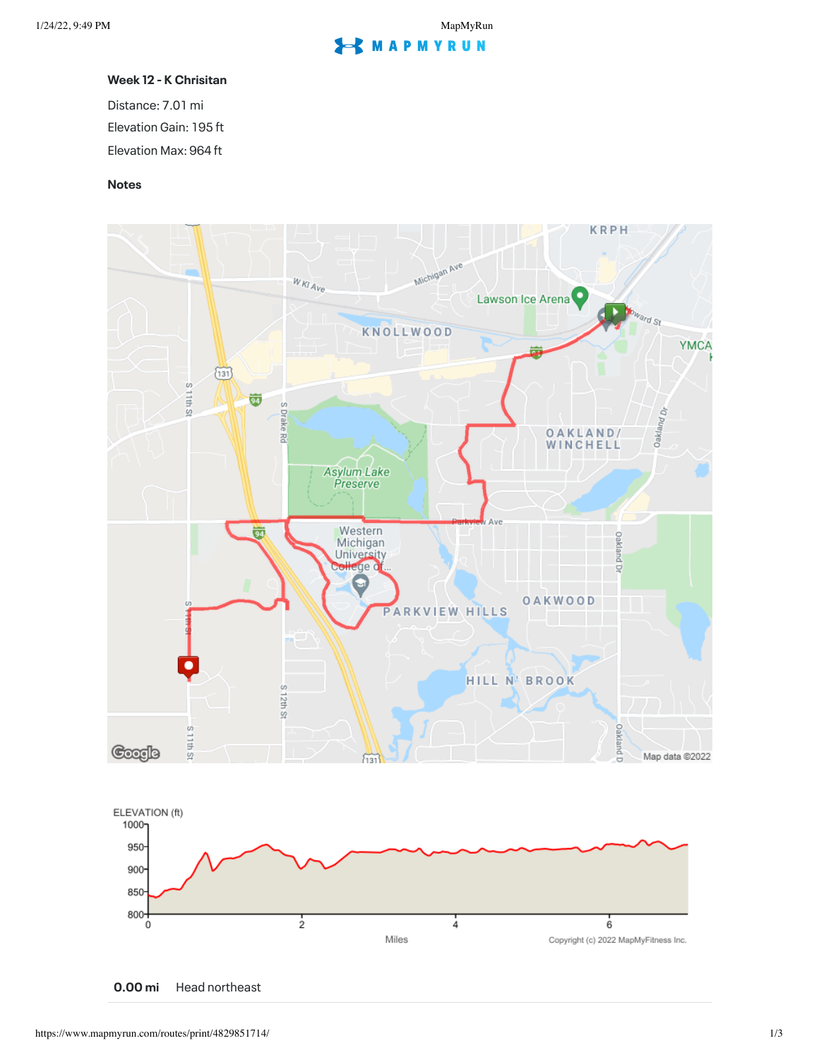## **Week 12 - K Chrisitan**

Distance: 7.01 mi Elevation Gain: 195 ft Elevation Max: 964 ft

## **Notes**



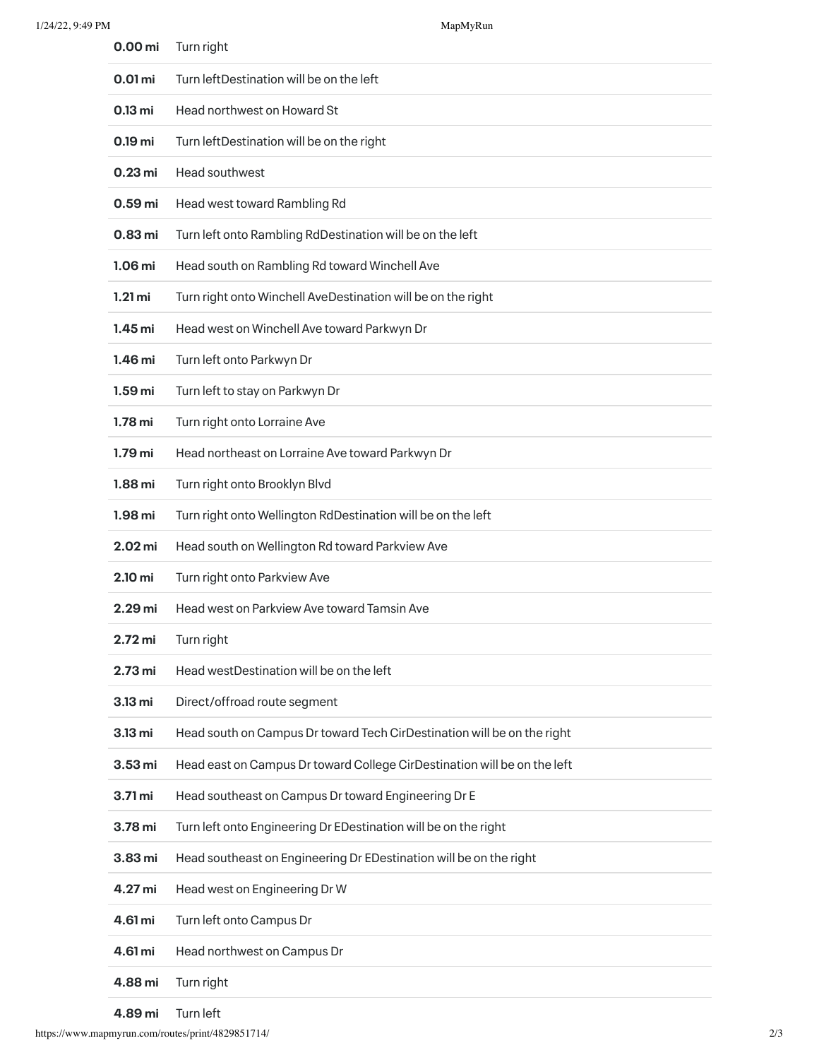| Turn leftDestination will be on the left<br>0.01 <sub>mi</sub><br>$0.13$ mi<br>Head northwest on Howard St |  |
|------------------------------------------------------------------------------------------------------------|--|
|                                                                                                            |  |
|                                                                                                            |  |
| $0.19$ mi<br>Turn leftDestination will be on the right                                                     |  |
| Head southwest<br>$0.23$ mi                                                                                |  |
| 0.59 <sub>mi</sub><br>Head west toward Rambling Rd                                                         |  |
| Turn left onto Rambling RdDestination will be on the left<br>0.83 <sub>mi</sub>                            |  |
| Head south on Rambling Rd toward Winchell Ave<br>1.06 mi                                                   |  |
| Turn right onto Winchell AveDestination will be on the right<br>$1.21$ mi                                  |  |
| Head west on Winchell Ave toward Parkwyn Dr<br>1.45 mi                                                     |  |
| Turn left onto Parkwyn Dr<br>1.46 mi                                                                       |  |
| Turn left to stay on Parkwyn Dr<br>1.59 <sub>mi</sub>                                                      |  |
| Turn right onto Lorraine Ave<br>$1.78$ mi                                                                  |  |
| Head northeast on Lorraine Ave toward Parkwyn Dr<br>1.79 mi                                                |  |
| Turn right onto Brooklyn Blvd<br>$1.88$ mi                                                                 |  |
| Turn right onto Wellington RdDestination will be on the left<br>1.98 <sub>mi</sub>                         |  |
| Head south on Wellington Rd toward Parkview Ave<br>$2.02 \,\mathrm{mi}$                                    |  |
| Turn right onto Parkview Ave<br>2.10 mi                                                                    |  |
| Head west on Parkview Ave toward Tamsin Ave<br>2.29 <sub>mi</sub>                                          |  |
| Turn right<br>2.72 mi                                                                                      |  |
| Head westDestination will be on the left<br>2.73 mi                                                        |  |
| Direct/offroad route segment<br>3.13 mi                                                                    |  |
|                                                                                                            |  |
| Head south on Campus Dr toward Tech CirDestination will be on the right<br>3.13 mi                         |  |
| Head east on Campus Dr toward College CirDestination will be on the left<br>3.53 mi                        |  |
| Head southeast on Campus Dr toward Engineering Dr E<br>3.71 mi                                             |  |
| Turn left onto Engineering Dr EDestination will be on the right<br>3.78 mi                                 |  |
| Head southeast on Engineering Dr EDestination will be on the right<br>3.83 mi                              |  |
| 4.27 mi<br>Head west on Engineering Dr W                                                                   |  |
| 4.61 mi<br>Turn left onto Campus Dr                                                                        |  |
| 4.61 mi<br>Head northwest on Campus Dr                                                                     |  |